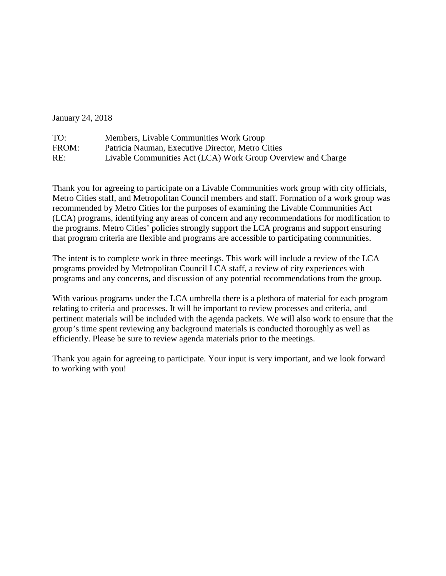January 24, 2018

| TO:   | Members, Livable Communities Work Group                      |
|-------|--------------------------------------------------------------|
| FROM: | Patricia Nauman, Executive Director, Metro Cities            |
| RE:   | Livable Communities Act (LCA) Work Group Overview and Charge |

Thank you for agreeing to participate on a Livable Communities work group with city officials, Metro Cities staff, and Metropolitan Council members and staff. Formation of a work group was recommended by Metro Cities for the purposes of examining the Livable Communities Act (LCA) programs, identifying any areas of concern and any recommendations for modification to the programs. Metro Cities' policies strongly support the LCA programs and support ensuring that program criteria are flexible and programs are accessible to participating communities.

The intent is to complete work in three meetings. This work will include a review of the LCA programs provided by Metropolitan Council LCA staff, a review of city experiences with programs and any concerns, and discussion of any potential recommendations from the group.

With various programs under the LCA umbrella there is a plethora of material for each program relating to criteria and processes. It will be important to review processes and criteria, and pertinent materials will be included with the agenda packets. We will also work to ensure that the group's time spent reviewing any background materials is conducted thoroughly as well as efficiently. Please be sure to review agenda materials prior to the meetings.

Thank you again for agreeing to participate. Your input is very important, and we look forward to working with you!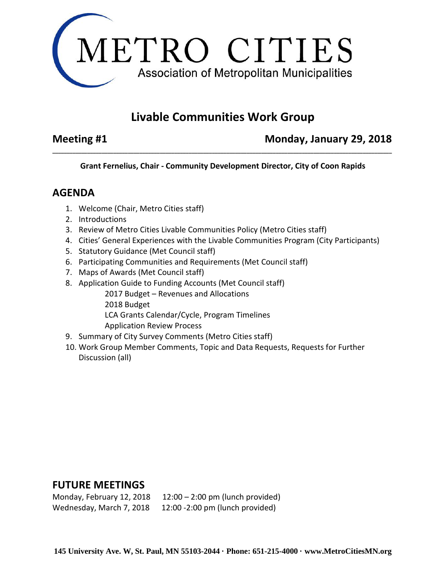

# **Livable Communities Work Group**

**Meeting #1** Monday, January 29, 2018

**Grant Fernelius, Chair - Community Development Director, City of Coon Rapids**

**\_\_\_\_\_\_\_\_\_\_\_\_\_\_\_\_\_\_\_\_\_\_\_\_\_\_\_\_\_\_\_\_\_\_\_\_\_\_\_\_\_\_\_\_\_\_\_\_\_\_\_\_\_\_\_\_\_\_\_\_\_\_\_\_\_\_\_\_\_\_\_\_\_\_\_\_\_\_\_\_\_\_\_\_\_\_\_\_\_\_\_\_\_\_\_\_\_\_\_\_\_\_\_\_\_\_\_\_\_\_\_\_\_\_\_\_\_**

### **AGENDA**

- 1. Welcome (Chair, Metro Cities staff)
- 2. Introductions
- 3. Review of Metro Cities Livable Communities Policy (Metro Cities staff)
- 4. Cities' General Experiences with the Livable Communities Program (City Participants)
- 5. Statutory Guidance (Met Council staff)
- 6. Participating Communities and Requirements (Met Council staff)
- 7. Maps of Awards (Met Council staff)
- 8. Application Guide to Funding Accounts (Met Council staff)
	- 2017 Budget Revenues and Allocations 2018 Budget LCA Grants Calendar/Cycle, Program Timelines Application Review Process
- 9. Summary of City Survey Comments (Metro Cities staff)
- 10. Work Group Member Comments, Topic and Data Requests, Requests for Further Discussion (all)

## **FUTURE MEETINGS**

| Monday, February 12, 2018 | $12:00 - 2:00$ pm (lunch provided) |
|---------------------------|------------------------------------|
| Wednesday, March 7, 2018  | 12:00 -2:00 pm (lunch provided)    |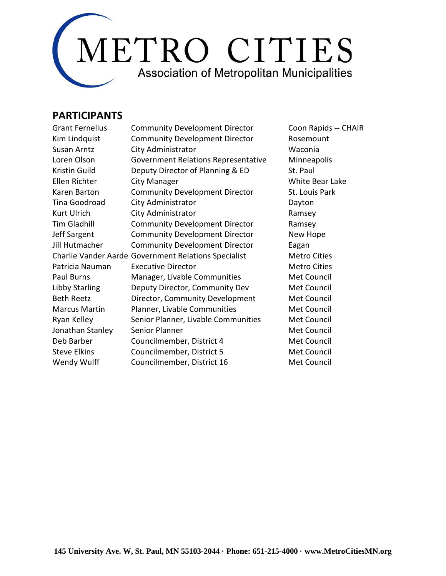

#### **PARTICIPANTS**

| <b>Community Development Director</b>                | Coon Ra   |  |
|------------------------------------------------------|-----------|--|
| <b>Community Development Director</b>                | Rosemou   |  |
| City Administrator                                   | Waconia   |  |
| Government Relations Representative                  | Minneap   |  |
| Deputy Director of Planning & ED                     | St. Paul  |  |
| City Manager                                         | White Be  |  |
| <b>Community Development Director</b>                | St. Louis |  |
| City Administrator                                   | Dayton    |  |
| City Administrator                                   | Ramsey    |  |
| <b>Community Development Director</b>                | Ramsey    |  |
| <b>Community Development Director</b>                | New Hop   |  |
| <b>Community Development Director</b>                | Eagan     |  |
| Charlie Vander Aarde Government Relations Specialist |           |  |
| <b>Executive Director</b>                            | Metro Ci  |  |
| Manager, Livable Communities                         | Met Cou   |  |
| Deputy Director, Community Dev                       | Met Cou   |  |
| Director, Community Development                      | Met Cou   |  |
| Planner, Livable Communities                         | Met Cou   |  |
| Senior Planner, Livable Communities                  | Met Cou   |  |
| Senior Planner                                       | Met Cou   |  |
| Councilmember, District 4                            | Met Cou   |  |
| Councilmember, District 5                            | Met Cou   |  |
| Councilmember, District 16                           | Met Cou   |  |
|                                                      |           |  |

Coon Rapids -- CHAIR Rosemount **Minneapolis** White Bear Lake St. Louis Park Ramsey New Hope Metro Cities **Metro Cities Met Council Met Council Met Council** Met Council **Met Council Met Council** Met Council **Met Council Met Council**